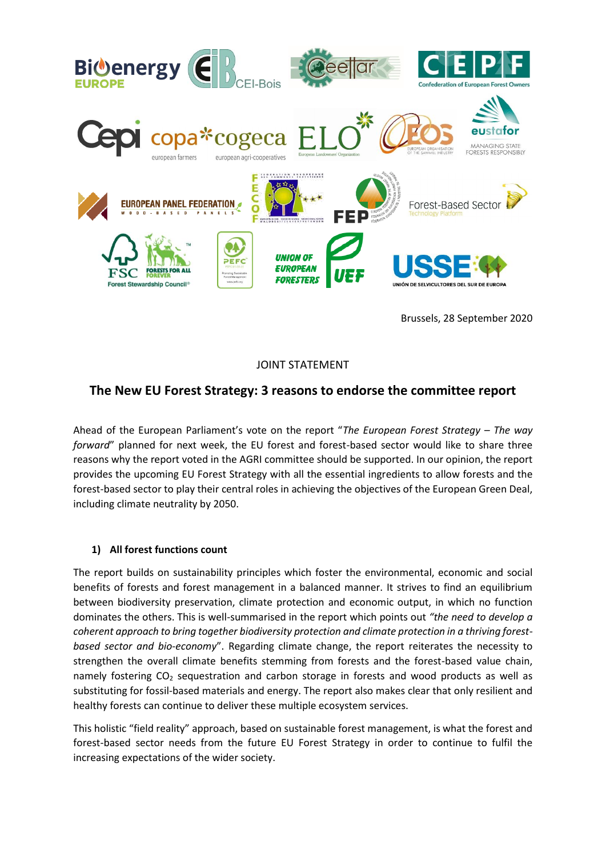

Brussels, 28 September 2020

JOINT STATEMENT

## **The New EU Forest Strategy: 3 reasons to endorse the committee report**

Ahead of the European Parliament's vote on the report "*The European Forest Strategy – The way forward*" planned for next week, the EU forest and forest-based sector would like to share three reasons why the report voted in the AGRI committee should be supported. In our opinion, the report provides the upcoming EU Forest Strategy with all the essential ingredients to allow forests and the forest-based sector to play their central roles in achieving the objectives of the European Green Deal, including climate neutrality by 2050.

## **1) All forest functions count**

The report builds on sustainability principles which foster the environmental, economic and social benefits of forests and forest management in a balanced manner. It strives to find an equilibrium between biodiversity preservation, climate protection and economic output, in which no function dominates the others. This is well-summarised in the report which points out *"the need to develop a coherent approach to bring together biodiversity protection and climate protection in a thriving forestbased sector and bio-economy*". Regarding climate change, the report reiterates the necessity to strengthen the overall climate benefits stemming from forests and the forest-based value chain, namely fostering  $CO<sub>2</sub>$  sequestration and carbon storage in forests and wood products as well as substituting for fossil-based materials and energy. The report also makes clear that only resilient and healthy forests can continue to deliver these multiple ecosystem services.

This holistic "field reality" approach, based on sustainable forest management, is what the forest and forest-based sector needs from the future EU Forest Strategy in order to continue to fulfil the increasing expectations of the wider society.